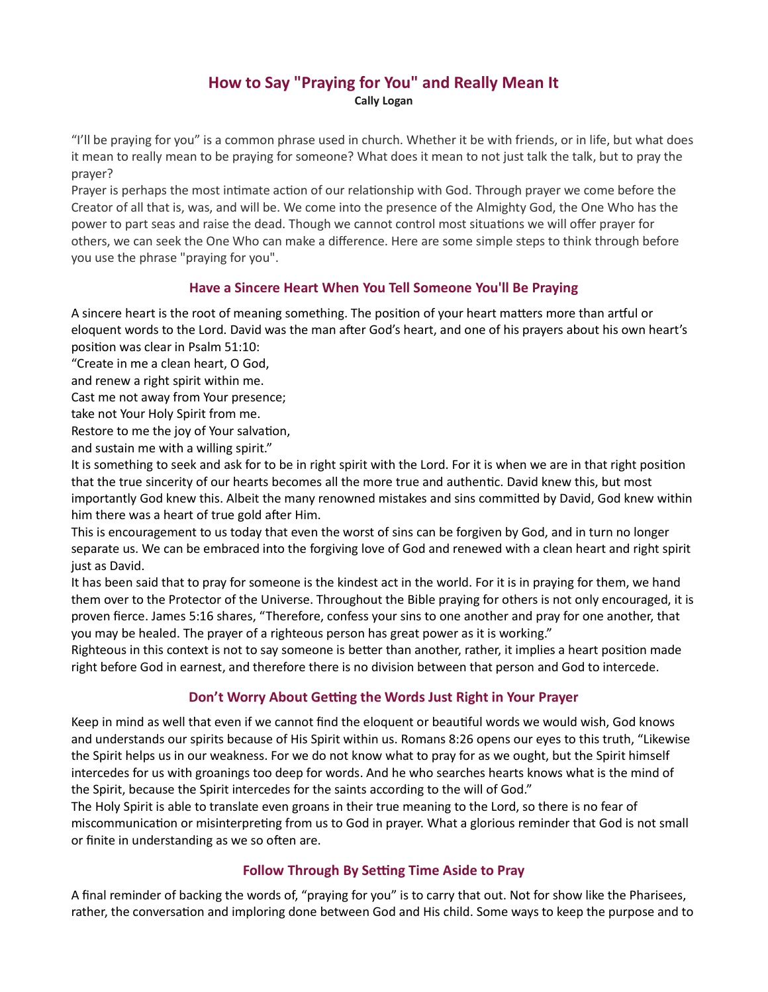# How to Say "Praying for You" and Really Mean It Cally Logan

"I'll be praying for you" is a common phrase used in church. Whether it be with friends, or in life, but what does it mean to really mean to be praying for someone? What does it mean to not just talk the talk, but to pray the prayer?

Prayer is perhaps the most intimate action of our relationship with God. Through prayer we come before the Creator of all that is, was, and will be. We come into the presence of the Almighty God, the One Who has the power to part seas and raise the dead. Though we cannot control most situations we will offer prayer for others, we can seek the One Who can make a difference. Here are some simple steps to think through before you use the phrase "praying for you".

### Have a Sincere Heart When You Tell Someone You'll Be Praying

A sincere heart is the root of meaning something. The position of your heart matters more than artful or eloquent words to the Lord. David was the man after God's heart, and one of his prayers about his own heart's position was clear in Psalm 51:10:

"Create in me a clean heart, O God,

and renew a right spirit within me.

Cast me not away from Your presence;

take not Your Holy Spirit from me.

Restore to me the joy of Your salvation,

and sustain me with a willing spirit."

It is something to seek and ask for to be in right spirit with the Lord. For it is when we are in that right position that the true sincerity of our hearts becomes all the more true and authentic. David knew this, but most importantly God knew this. Albeit the many renowned mistakes and sins committed by David, God knew within him there was a heart of true gold after Him.

This is encouragement to us today that even the worst of sins can be forgiven by God, and in turn no longer separate us. We can be embraced into the forgiving love of God and renewed with a clean heart and right spirit just as David.

It has been said that to pray for someone is the kindest act in the world. For it is in praying for them, we hand them over to the Protector of the Universe. Throughout the Bible praying for others is not only encouraged, it is proven fierce. James 5:16 shares, "Therefore, confess your sins to one another and pray for one another, that you may be healed. The prayer of a righteous person has great power as it is working."

Righteous in this context is not to say someone is better than another, rather, it implies a heart position made right before God in earnest, and therefore there is no division between that person and God to intercede.

## Don't Worry About Getting the Words Just Right in Your Prayer

Keep in mind as well that even if we cannot find the eloquent or beautiful words we would wish, God knows and understands our spirits because of His Spirit within us. Romans 8:26 opens our eyes to this truth, "Likewise the Spirit helps us in our weakness. For we do not know what to pray for as we ought, but the Spirit himself intercedes for us with groanings too deep for words. And he who searches hearts knows what is the mind of the Spirit, because the Spirit intercedes for the saints according to the will of God."

The Holy Spirit is able to translate even groans in their true meaning to the Lord, so there is no fear of miscommunication or misinterpreting from us to God in prayer. What a glorious reminder that God is not small or finite in understanding as we so often are.

## Follow Through By Setting Time Aside to Pray

A final reminder of backing the words of, "praying for you" is to carry that out. Not for show like the Pharisees, rather, the conversation and imploring done between God and His child. Some ways to keep the purpose and to